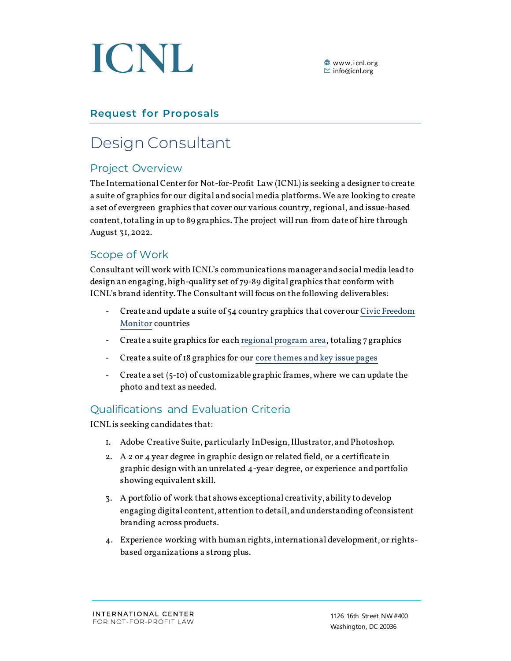

# **Request for Proposals**

# Design Consultant

### Project Overview

The International Center for Not-for-Profit Law (ICNL) is seeking a designer to create a suite of graphics for our digital and social media platforms. We are looking to create a set of evergreen graphics that cover our various country, regional, and issue-based content, totaling in up to 89 graphics. The project will run from date of hire through August 31, 2022.

#### Scope of Work

Consultant will work with ICNL's communications manager and social media lead to design an engaging, high-quality set of 79-89 digital graphics that conform with ICNL's brand identity. The Consultant will focus on the following deliverables:

- Create and update a suite of 54 country graphics that cover our Civic Freedom Monitor countries
- Create a suite graphics for each regional program area, totaling 7 graphics
- Create a suite of 18 graphics for our core themes and key issue pages
- Create a set (5-10) of customizable graphic frames, where we can update the photo and text as needed.

## Qualifications and Evaluation Criteria

ICNL is seeking candidates that:

- 1. Adobe Creative Suite, particularly InDesign, Illustrator, and Photoshop.
- 2. A 2 or 4 year degree in graphic design or related field, or a certificate in graphic design with an unrelated 4-year degree, or experience and portfolio showing equivalent skill.
- 3. A portfolio of work that shows exceptional creativity, ability to develop engaging digital content, attention to detail, and understanding of consistent branding across products.
- 4. Experience working with human rights, international development, or rightsbased organizations a strong plus.